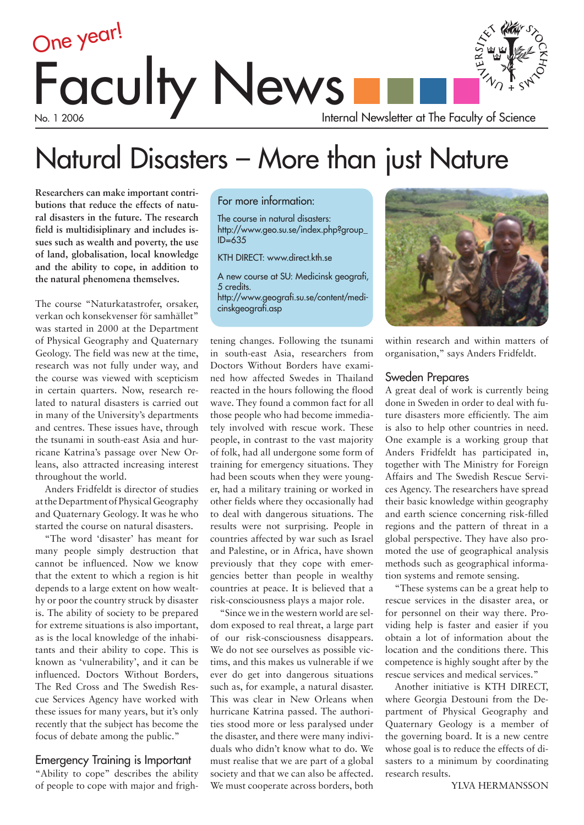

# Natural Disasters – More than just Nature

**Researchers can make important contributions that reduce the effects of natural disasters in the future. The research field is multidisiplinary and includes issues such as wealth and poverty, the use of land, globalisation, local knowledge and the ability to cope, in addition to the natural phenomena themselves.**

The course "Naturkatastrofer, orsaker, verkan och konsekvenser för samhället" was started in 2000 at the Department of Physical Geography and Quaternary Geology. The field was new at the time, research was not fully under way, and the course was viewed with scepticism in certain quarters. Now, research related to natural disasters is carried out in many of the University's departments and centres. These issues have, through the tsunami in south-east Asia and hurricane Katrina's passage over New Orleans, also attracted increasing interest throughout the world.

Anders Fridfeldt is director of studies at the Department of Physical Geography and Quaternary Geology. It was he who started the course on natural disasters.

"The word 'disaster' has meant for many people simply destruction that cannot be influenced. Now we know that the extent to which a region is hit depends to a large extent on how wealthy or poor the country struck by disaster is. The ability of society to be prepared for extreme situations is also important, as is the local knowledge of the inhabitants and their ability to cope. This is known as 'vulnerability', and it can be influenced. Doctors Without Borders, The Red Cross and The Swedish Rescue Services Agency have worked with these issues for many years, but it's only recently that the subject has become the focus of debate among the public."

### Emergency Training is Important

"Ability to cope" describes the ability of people to cope with major and frigh-

### For more information:

The course in natural disasters: http://www.geo.su.se/index.php?group\_  $ID = 635$ 

KTH DIRECT: www.direct.kth.se

A new course at SU: Medicinsk geografi, 5 credits. http://www.geografi.su.se/content/medicinskgeografi.asp

tening changes. Following the tsunami in south-east Asia, researchers from Doctors Without Borders have examined how affected Swedes in Thailand reacted in the hours following the flood wave. They found a common fact for all those people who had become immediately involved with rescue work. These people, in contrast to the vast majority of folk, had all undergone some form of training for emergency situations. They had been scouts when they were younger, had a military training or worked in other fields where they occasionally had to deal with dangerous situations. The results were not surprising. People in countries affected by war such as Israel and Palestine, or in Africa, have shown previously that they cope with emergencies better than people in wealthy countries at peace. It is believed that a risk-consciousness plays a major role.

"Since we in the western world are seldom exposed to real threat, a large part of our risk-consciousness disappears. We do not see ourselves as possible victims, and this makes us vulnerable if we ever do get into dangerous situations such as, for example, a natural disaster. This was clear in New Orleans when hurricane Katrina passed. The authorities stood more or less paralysed under the disaster, and there were many individuals who didn't know what to do. We must realise that we are part of a global society and that we can also be affected. We must cooperate across borders, both



within research and within matters of organisation," says Anders Fridfeldt.

### Sweden Prepares

A great deal of work is currently being done in Sweden in order to deal with future disasters more efficiently. The aim is also to help other countries in need. One example is a working group that Anders Fridfeldt has participated in, together with The Ministry for Foreign Affairs and The Swedish Rescue Services Agency. The researchers have spread their basic knowledge within geography and earth science concerning risk-filled regions and the pattern of threat in a global perspective. They have also promoted the use of geographical analysis methods such as geographical information systems and remote sensing.

"These systems can be a great help to rescue services in the disaster area, or for personnel on their way there. Providing help is faster and easier if you obtain a lot of information about the location and the conditions there. This competence is highly sought after by the rescue services and medical services."

Another initiative is KTH DIRECT, where Georgia Destouni from the Department of Physical Geography and Quaternary Geology is a member of the governing board. It is a new centre whose goal is to reduce the effects of disasters to a minimum by coordinating research results.